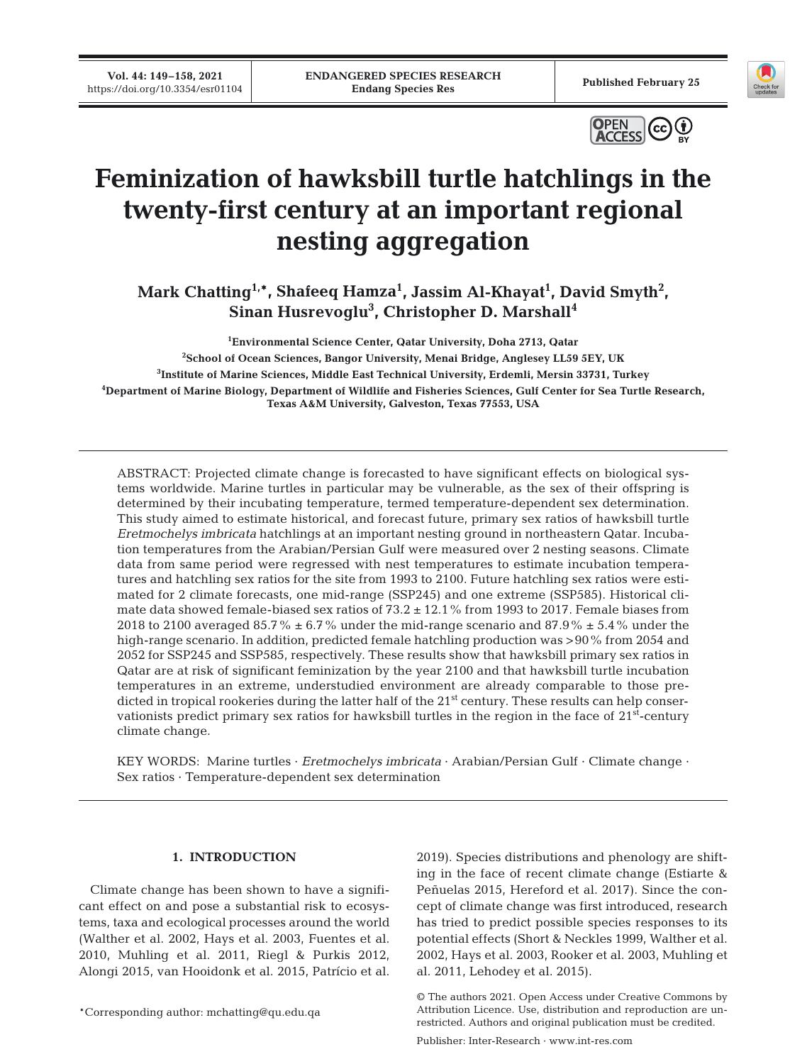**Vol. 44: 149–158, 2021**





# **Feminization of hawksbill turtle hatchlings in the twenty-first century at an important regional nesting aggregation**

**Mark Chatting1,\*, Shafeeq Hamza1 , Jassim Al-Khayat1 , David Smyth2 , Sinan Husrevoglu3 , Christopher D. Marshall4**

 **Environmental Science Center, Qatar University, Doha 2713, Qatar School of Ocean Sciences, Bangor University, Menai Bridge, Anglesey LL59 5EY, UK Institute of Marine Sciences, Middle East Technical University, Erdemli, Mersin 33731, Turkey Department of Marine Biology, Department of Wildlife and Fisheries Sciences, Gulf Center for Sea Turtle Research, Texas A&M University, Galveston, Texas 77553, USA**

ABSTRACT: Projected climate change is forecasted to have significant effects on biological systems worldwide. Marine turtles in particular may be vulnerable, as the sex of their offspring is determined by their incubating temperature, termed temperature-dependent sex determination. This study aimed to estimate historical, and forecast future, primary sex ratios of hawksbill turtle *Eretmochelys imbricata* hatchlings at an important nesting ground in northeastern Qatar. Incubation temperatures from the Arabian/Persian Gulf were measured over 2 nesting seasons. Climate data from same period were regressed with nest temperatures to estimate incubation temperatures and hatchling sex ratios for the site from 1993 to 2100. Future hatchling sex ratios were estimated for 2 climate forecasts, one mid-range (SSP245) and one extreme (SSP585). Historical climate data showed female-biased sex ratios of 73.2 ± 12.1% from 1993 to 2017. Female biases from 2018 to 2100 averaged 85.7%  $\pm$  6.7% under the mid-range scenario and 87.9%  $\pm$  5.4% under the high-range scenario. In addition, predicted female hatchling production was >90% from 2054 and 2052 for SSP245 and SSP585, respectively. These results show that hawksbill primary sex ratios in Qatar are at risk of significant feminization by the year 2100 and that hawksbill turtle incubation temperatures in an extreme, understudied environment are already comparable to those predicted in tropical rookeries during the latter half of the 21<sup>st</sup> century. These results can help conservationists predict primary sex ratios for hawksbill turtles in the region in the face of  $21<sup>st</sup>$ -century climate change.

KEY WORDS: Marine turtles · *Eretmochelys imbricata* · Arabian/Persian Gulf · Climate change · Sex ratios · Temperature-dependent sex determination

# **1. INTRODUCTION**

Climate change has been shown to have a significant effect on and pose a substantial risk to ecosystems, taxa and ecological processes around the world (Walther et al. 2002, Hays et al. 2003, Fuentes et al. 2010, Muhling et al. 2011, Riegl & Purkis 2012, Alongi 2015, van Hooidonk et al. 2015, Patrício et al.

\*Corresponding author: mchatting@qu.edu.qa

2019). Species distributions and phenology are shifting in the face of recent climate change (Estiarte & Peñuelas 2015, Hereford et al. 2017). Since the concept of climate change was first introduced, research has tried to predict possible species responses to its potential effects (Short & Neckles 1999, Walther et al. 2002, Hays et al. 2003, Rooker et al. 2003, Muhling et al. 2011, Lehodey et al. 2015).

<sup>©</sup> The authors 2021. Open Access under Creative Commons by Attribution Licence. Use, distribution and reproduction are unrestricted. Authors and original publication must be credited.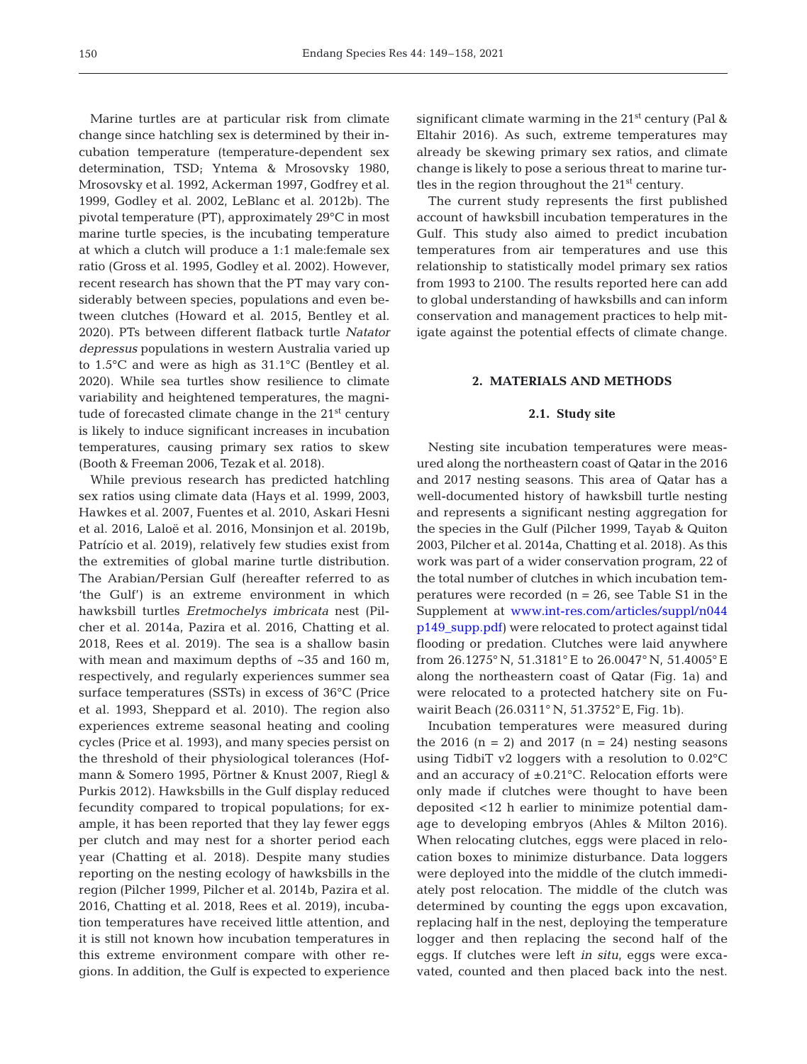Marine turtles are at particular risk from climate change since hatchling sex is determined by their incubation temperature (temperature-dependent sex determination, TSD; Yntema & Mrosovsky 1980, Mrosovsky et al. 1992, Ackerman 1997, Godfrey et al. 1999, Godley et al. 2002, LeBlanc et al. 2012b). The pivotal temperature (PT), approximately 29°C in most marine turtle species, is the incubating temperature at which a clutch will produce a 1:1 male: female sex ratio (Gross et al. 1995, Godley et al. 2002). However, recent research has shown that the PT may vary considerably between species, populations and even between clutches (Howard et al. 2015, Bentley et al. 2020). PTs between different flatback turtle *Natator depressus* populations in western Australia varied up to 1.5°C and were as high as 31.1°C (Bentley et al. 2020). While sea turtles show resilience to climate variability and heightened temperatures, the magnitude of forecasted climate change in the  $21<sup>st</sup>$  century is likely to induce significant increases in incubation temperatures, causing primary sex ratios to skew (Booth & Freeman 2006, Tezak et al. 2018).

While previous research has predicted hatchling sex ratios using climate data (Hays et al. 1999, 2003, Hawkes et al. 2007, Fuentes et al. 2010, Askari Hesni et al. 2016, Laloë et al. 2016, Monsinjon et al. 2019b, Patrício et al. 2019), relatively few studies exist from the extremities of global marine turtle distribution. The Arabian/Persian Gulf (hereafter referred to as 'the Gulf') is an extreme environment in which hawksbill turtles *Eretmochelys imbricata* nest (Pil cher et al. 2014a, Pazira et al. 2016, Chatting et al. 2018, Rees et al. 2019). The sea is a shallow basin with mean and maximum depths of ~35 and 160 m, respectively, and regularly experiences summer sea surface temperatures (SSTs) in excess of 36°C (Price et al. 1993, Sheppard et al. 2010). The region also experiences extreme seasonal heating and cooling cycles (Price et al. 1993), and many species persist on the threshold of their physiological tolerances (Hofmann & Somero 1995, Pörtner & Knust 2007, Riegl & Purkis 2012). Hawksbills in the Gulf display reduced fecundity compared to tropical populations; for example, it has been reported that they lay fewer eggs per clutch and may nest for a shorter period each year (Chatting et al. 2018). Despite many studies reporting on the nesting ecology of hawksbills in the region (Pilcher 1999, Pilcher et al. 2014b, Pazira et al. 2016, Chatting et al. 2018, Rees et al. 2019), incubation temperatures have received little attention, and it is still not known how incubation temperatures in this extreme environment compare with other regions. In addition, the Gulf is expected to experience

significant climate warming in the  $21<sup>st</sup>$  century (Pal & Eltahir 2016). As such, extreme temperatures may already be skewing primary sex ratios, and climate change is likely to pose a serious threat to marine turtles in the region throughout the 21<sup>st</sup> century.

The current study represents the first published account of hawksbill incubation temperatures in the Gulf. This study also aimed to predict incubation temperatures from air temperatures and use this relationship to statistically model primary sex ratios from 1993 to 2100. The results reported here can add to global understanding of hawksbills and can inform conservation and management practices to help mitigate against the potential effects of climate change.

# **2. MATERIALS AND METHODS**

### **2.1. Study site**

Nesting site incubation temperatures were measured along the northeastern coast of Qatar in the 2016 and 2017 nesting seasons. This area of Qatar has a well-documented history of hawksbill turtle nesting and represents a significant nesting aggregation for the species in the Gulf (Pilcher 1999, Tayab & Quiton 2003, Pilcher et al. 2014a, Chatting et al. 2018). As this work was part of a wider conservation program, 22 of the total number of clutches in which incubation temperatures were recorded  $(n = 26$ , see Table S1 in the Supplement at www.int-res.com/articles/suppl/n044 [p149 \\_ supp. pdf\)](https://www.int-res.com/articles/suppl/n044p149_supp.pdf) were relocated to protect against tidal flooding or predation. Clutches were laid anywhere from 26.1275° N, 51.3181° E to 26.0047° N, 51.4005° E along the northeastern coast of Qatar (Fig. 1a) and were relocated to a protected hatchery site on Fuwairit Beach (26.0311° N, 51.3752° E, Fig. 1b).

Incubation temperatures were measured during the 2016  $(n = 2)$  and 2017  $(n = 24)$  nesting seasons using TidbiT v2 loggers with a resolution to 0.02°C and an accuracy of  $\pm 0.21^{\circ}$ C. Relocation efforts were only made if clutches were thought to have been deposited <12 h earlier to minimize potential damage to developing embryos (Ahles & Milton 2016). When relocating clutches, eggs were placed in relocation boxes to minimize disturbance. Data loggers were deployed into the middle of the clutch immediately post relocation. The middle of the clutch was determined by counting the eggs upon excavation, replacing half in the nest, deploying the temperature logger and then replacing the second half of the eggs. If clutches were left *in situ*, eggs were excavated, counted and then placed back into the nest.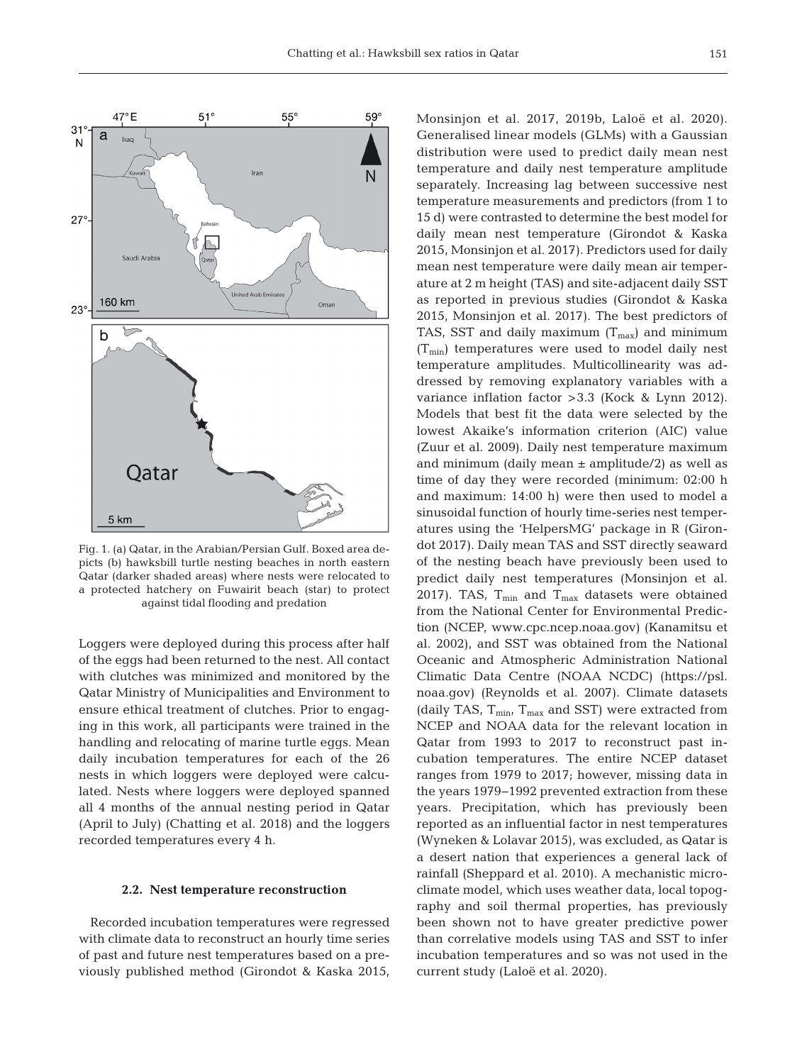

Fig. 1. (a) Qatar, in the Arabian/Persian Gulf. Boxed area depicts (b) hawksbill turtle nesting beaches in north eastern Qatar (darker shaded areas) where nests were relocated to a protected hatchery on Fuwairit beach (star) to protect against tidal flooding and predation

Loggers were deployed during this process after half of the eggs had been returned to the nest. All contact with clutches was minimized and monitored by the Qatar Ministry of Municipalities and Environment to ensure ethical treatment of clutches. Prior to engaging in this work, all participants were trained in the handling and relocating of marine turtle eggs. Mean daily incubation temperatures for each of the 26 nests in which loggers were deployed were calculated. Nests where loggers were deployed spanned all 4 months of the annual nesting period in Qatar (April to July) (Chatting et al. 2018) and the loggers recorded temperatures every 4 h.

#### **2.2. Nest temperature reconstruction**

Recorded incubation temperatures were regressed with climate data to reconstruct an hourly time series of past and future nest temperatures based on a previously published method (Girondot & Kaska 2015, Monsinjon et al. 2017, 2019b, Laloë et al. 2020). Generalised linear models (GLMs) with a Gaussian distribution were used to predict daily mean nest temperature and daily nest temperature amplitude separately. Increasing lag between successive nest temperature measurements and predictors (from 1 to 15 d) were contrasted to determine the best model for daily mean nest temperature (Girondot & Kaska 2015, Monsinjon et al. 2017). Predictors used for daily mean nest temperature were daily mean air temperature at 2 m height (TAS) and site-adjacent daily SST as reported in previous studies (Girondot & Kaska 2015, Monsinjon et al. 2017). The best predictors of TAS, SST and daily maximum  $(T_{\text{max}})$  and minimum  $(T_{\min})$  temperatures were used to model daily nest temperature amplitudes. Multicollinearity was ad dressed by removing explanatory variables with a variance inflation factor >3.3 (Kock & Lynn 2012). Models that best fit the data were selected by the lowest Akaike's information criterion (AIC) value (Zuur et al. 2009). Daily nest temperature maximum and minimum (daily mean  $\pm$  amplitude/2) as well as time of day they were recorded (minimum: 02:00 h and maximum: 14:00 h) were then used to model a sinusoidal function of hourly time-series nest temperatures using the 'HelpersMG' package in R (Girondot 2017). Daily mean TAS and SST directly seaward of the nesting beach have previously been used to predict daily nest temperatures (Monsinjon et al. 2017). TAS,  $T_{min}$  and  $T_{max}$  datasets were obtained from the National Center for Environmental Prediction (NCEP, www. cpc. ncep. noaa. gov) (Kanamitsu et al. 2002), and SST was obtained from the National Oceanic and Atmospheric Administration National Climatic Data Centre (NOAA NCDC) (https://psl. noaa.gov) (Reynolds et al. 2007). Climate datasets (daily TAS,  $T_{min}$ ,  $T_{max}$  and SST) were extracted from NCEP and NOAA data for the relevant location in Qatar from 1993 to 2017 to reconstruct past incubation temperatures. The entire NCEP dataset ranges from 1979 to 2017; however, missing data in the years 1979−1992 prevented extraction from these years. Precipitation, which has previously been reported as an influential factor in nest temperatures (Wyneken & Lolavar 2015), was excluded, as Qatar is a desert nation that experiences a general lack of rainfall (Sheppard et al. 2010). A mechanistic microclimate model, which uses weather data, local topography and soil thermal properties, has previously been shown not to have greater predictive power than correlative models using TAS and SST to infer incubation temperatures and so was not used in the current study (Laloë et al. 2020).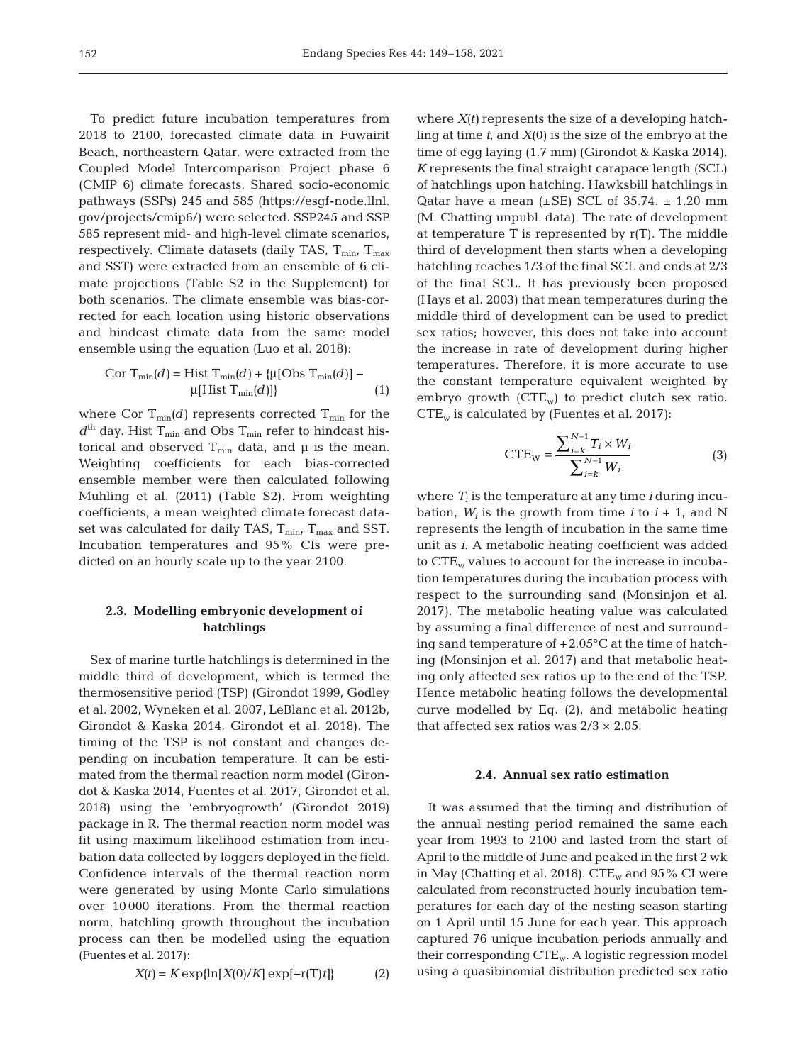To predict future incubation temperatures from 2018 to 2100, forecasted climate data in Fuwairit Beach, northeastern Qatar, were extracted from the Coupled Model Intercomparison Project phase 6 (CMIP 6) climate forecasts. Shared socio-economic pathways (SSPs) 245 and 585 (https://esgf-node.llnl. gov/ projects/ cmip6/) were selected. SSP245 and SSP 585 represent mid- and high-level climate scenarios, respectively. Climate datasets (daily TAS,  $T_{min}$ ,  $T_{max}$ and SST) were extracted from an ensemble of 6 climate projections (Table S2 in the Supplement) for both scenarios. The climate ensemble was bias-corrected for each location using historic observations and hindcast climate data from the same model ensemble using the equation (Luo et al. 2018):

Cor T<sub>min</sub>(d) = Hist T<sub>min</sub>(d) + {
$$
\mu
$$
[Obs T<sub>min</sub>(d)] –  
 $\mu$ [Hist T<sub>min</sub>(d)]} (1)

where Cor  $T_{min}(d)$  represents corrected  $T_{min}$  for the  $d<sup>th</sup>$  day. Hist T<sub>min</sub> and Obs T<sub>min</sub> refer to hindcast historical and observed  $T_{min}$  data, and  $\mu$  is the mean. Weighting coefficients for each bias-corrected ensemble member were then calculated following Muhling et al. (2011) (Table S2). From weighting coefficients, a mean weighted climate forecast dataset was calculated for daily TAS,  $T_{min}$ ,  $T_{max}$  and SST. Incubation temperatures and 95% CIs were predicted on an hourly scale up to the year 2100.

# **2.3. Modelling embryonic development of hatchlings**

Sex of marine turtle hatchlings is determined in the middle third of development, which is termed the thermosensitive period (TSP) (Girondot 1999, Godley et al. 2002, Wyneken et al. 2007, LeBlanc et al. 2012b, Girondot & Kaska 2014, Girondot et al. 2018). The timing of the TSP is not constant and changes depending on incubation temperature. It can be estimated from the thermal reaction norm model (Girondot & Kaska 2014, Fuentes et al. 2017, Girondot et al. 2018) using the 'embryogrowth' (Girondot 2019) package in R. The thermal reaction norm model was fit using maximum likelihood estimation from incubation data collected by loggers deployed in the field. Confidence intervals of the thermal reaction norm were generated by using Monte Carlo simulations over 10 000 iterations. From the thermal reaction norm, hatchling growth throughout the incubation process can then be modelled using the equation (Fuentes et al. 2017):

$$
X(t) = K \exp{\ln[X(0)/K] \exp[-r(T)t]}
$$
 (2)

where  $X(t)$  represents the size of a developing hatchling at time *t*, and *X*(0) is the size of the embryo at the time of egg laying (1.7 mm) (Girondot & Kaska 2014). *K* represents the final straight carapace length (SCL) of hatchlings upon hatching. Hawksbill hatchlings in Qatar have a mean  $(\pm SE)$  SCL of 35.74.  $\pm$  1.20 mm (M. Chatting unpubl. data). The rate of development at temperature T is represented by r(T). The middle third of development then starts when a developing hatchling reaches 1/3 of the final SCL and ends at 2/3 of the final SCL. It has previously been proposed (Hays et al. 2003) that mean temperatures during the middle third of development can be used to predict sex ratios; however, this does not take into account the increase in rate of development during higher temperatures. Therefore, it is more accurate to use the constant temperature equivalent weighted by embryo growth  $(CTE_w)$  to predict clutch sex ratio.  $CTE_w$  is calculated by (Fuentes et al. 2017):

$$
CTE_{W} = \frac{\sum_{i=k}^{N-1} T_{i} \times W_{i}}{\sum_{i=k}^{N-1} W_{i}}
$$
(3)

where  $T_i$  is the temperature at any time  $i$  during incubation,  $W_i$  is the growth from time *i* to  $i + 1$ , and N represents the length of incubation in the same time unit as *i*. A metabolic heating coefficient was added to  $CTE_w$  values to account for the increase in incubation temperatures during the incubation process with respect to the surrounding sand (Monsinjon et al. 2017). The metabolic heating value was calculated by assuming a final difference of nest and surrounding sand temperature of +2.05°C at the time of hatching (Monsinjon et al. 2017) and that metabolic heating only affected sex ratios up to the end of the TSP. Hence metabolic heating follows the developmental curve modelled by Eq. (2), and metabolic heating that affected sex ratios was  $2/3 \times 2.05$ .

#### **2.4. Annual sex ratio estimation**

It was assumed that the timing and distribution of the annual nesting period remained the same each year from 1993 to 2100 and lasted from the start of April to the middle of June and peaked in the first 2 wk in May (Chatting et al. 2018).  $CTE_w$  and 95% CI were calculated from reconstructed hourly incubation temperatures for each day of the nesting season starting on 1 April until 15 June for each year. This approach captured 76 unique incubation periods annually and their corresponding CTEw. A logistic regression model using a quasibinomial distribution predicted sex ratio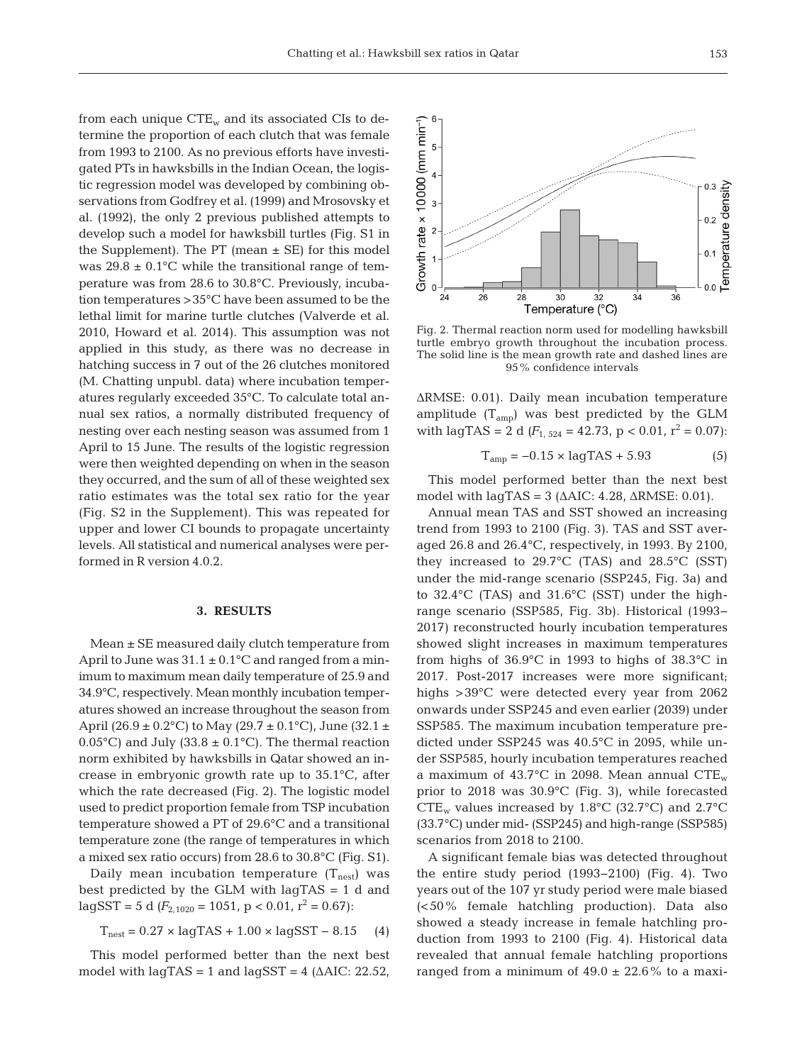from each unique  $CTE_w$  and its associated CIs to determine the proportion of each clutch that was female from 1993 to 2100. As no previous efforts have investigated PTs in hawksbills in the Indian Ocean, the logistic regression model was developed by combining observations from Godfrey et al. (1999) and Mrosovsky et al. (1992), the only 2 previous published attempts to develop such a model for hawksbill turtles (Fig. S1 in the Supplement). The PT (mean  $\pm$  SE) for this model was  $29.8 \pm 0.1$ °C while the transitional range of temperature was from 28.6 to 30.8°C. Previously, incubation temperatures >35°C have been assumed to be the lethal limit for marine turtle clutches (Valverde et al. 2010, Howard et al. 2014). This assumption was not applied in this study, as there was no decrease in hatching success in 7 out of the 26 clutches monitored (M. Chatting unpubl. data) where incubation temperatures regularly exceeded 35°C. To calculate total annual sex ratios, a normally distributed frequency of nesting over each nesting season was assumed from 1 April to 15 June. The results of the logistic regression were then weighted depending on when in the season they occurred, and the sum of all of these weighted sex ratio estimates was the total sex ratio for the year (Fig. S2 in the Supplement). This was repeated for upper and lower CI bounds to propagate uncertainty levels. All statistical and numerical analyses were performed in R version 4.0.2.

# **3. RESULTS**

Mean ± SE measured daily clutch temperature from April to June was  $31.1 \pm 0.1$ °C and ranged from a minimum to maximum mean daily temperature of 25.9 and 34.9°C, respectively. Mean monthly incubation temperatures showed an increase throughout the season from April (26.9 ± 0.2°C) to May (29.7 ± 0.1°C), June (32.1 ± 0.05°C) and July (33.8  $\pm$  0.1°C). The thermal reaction norm exhibited by hawksbills in Qatar showed an increase in embryonic growth rate up to 35.1°C, after which the rate decreased (Fig. 2). The logistic model used to predict proportion female from TSP incubation temperature showed a PT of 29.6°C and a transitional temperature zone (the range of temperatures in which a mixed sex ratio occurs) from 28.6 to 30.8°C (Fig. S1).

Daily mean incubation temperature  $(T_{\text{nest}})$  was best predicted by the GLM with lagTAS = 1 d and  $\text{lagSST} = 5 \text{ d } (F_{2.1020} = 1051, \text{ p } < 0.01, \text{ r}^2 = 0.67)$ :

$$
T_{\text{nest}} = 0.27 \times \text{lagTAS} + 1.00 \times \text{lagSST} - 8.15 \quad (4)
$$

This model performed better than the next best model with  $\text{lagTAS} = 1$  and  $\text{lagSST} = 4$  ( $\triangle$ AIC: 22.52,

Fig. 2. Thermal reaction norm used for modelling hawksbill turtle embryo growth throughout the incubation process. The solid line is the mean growth rate and dashed lines are 95% confidence intervals

ΔRMSE: 0.01). Daily mean incubation temperature amplitude  $(T_{amp})$  was best predicted by the GLM with lagTAS = 2 d  $(F_{1, 524} = 42.73, p < 0.01, r^2 = 0.07)$ :

$$
T_{amp} = -0.15 \times \text{lagTAS} + 5.93 \tag{5}
$$

This model performed better than the next best model with  $\text{lagTAS} = 3 \text{ (AAIC: } 4.28, \text{ \Delta RMSE: } 0.01$ .

Annual mean TAS and SST showed an increasing trend from 1993 to 2100 (Fig. 3). TAS and SST averaged 26.8 and 26.4°C, respectively, in 1993. By 2100, they increased to 29.7°C (TAS) and 28.5°C (SST) under the mid-range scenario (SSP245, Fig. 3a) and to 32.4°C (TAS) and 31.6°C (SST) under the highrange scenario (SSP585, Fig. 3b). Historical (1993− 2017) reconstructed hourly incubation temperatures showed slight increases in maximum temperatures from highs of 36.9°C in 1993 to highs of 38.3°C in 2017. Post-2017 increases were more significant; highs >39°C were detected every year from 2062 onwards under SSP245 and even earlier (2039) under SSP585. The maximum incubation temperature predicted under SSP245 was 40.5°C in 2095, while under SSP585, hourly incubation temperatures reached a maximum of 43.7°C in 2098. Mean annual  $CTE_w$ prior to 2018 was 30.9°C (Fig. 3), while forecasted  $CTE_w$  values increased by 1.8°C (32.7°C) and 2.7°C (33.7°C) under mid- (SSP245) and high-range (SSP585) scenarios from 2018 to 2100.

A significant female bias was detected throughout the entire study period (1993−2100) (Fig. 4). Two years out of the 107 yr study period were male biased (<50% female hatchling production). Data also showed a steady increase in female hatchling production from 1993 to 2100 (Fig. 4). Historical data revealed that annual female hatchling proportions ranged from a minimum of  $49.0 \pm 22.6\%$  to a maxi-

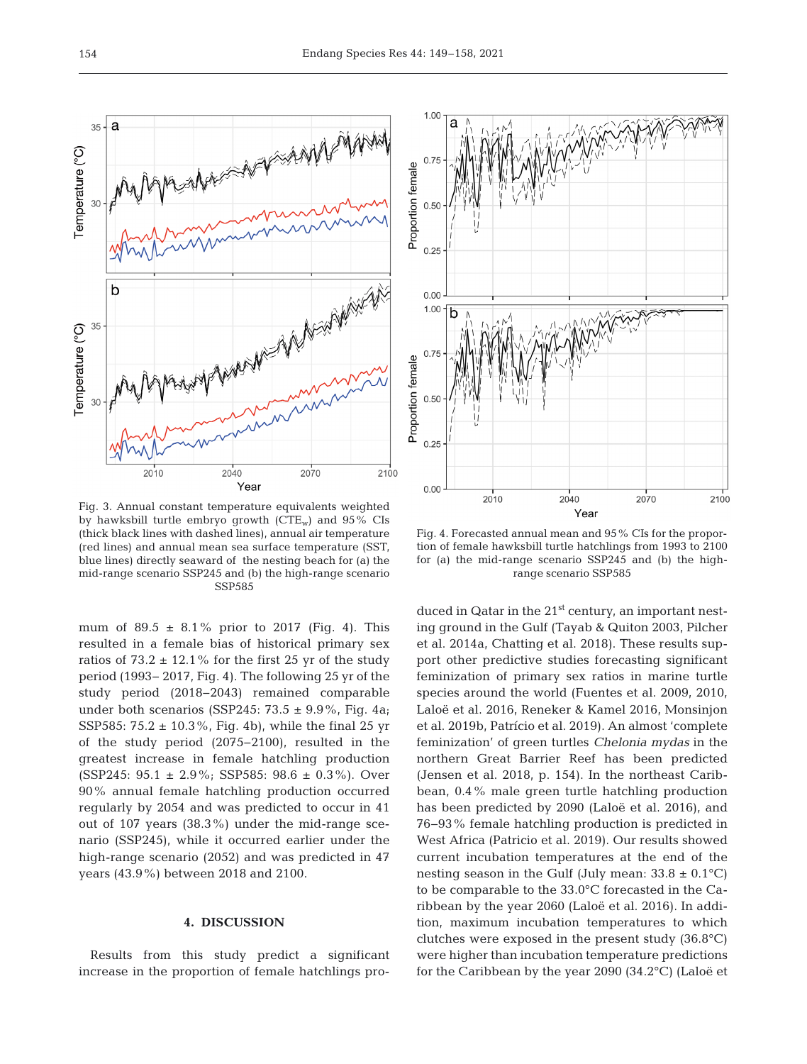

Fig. 3. Annual constant temperature equivalents weighted by hawksbill turtle embryo growth  $(CTE_w)$  and  $95\%$  CIs (thick black lines with dashed lines), annual air temperature (red lines) and annual mean sea surface temperature (SST, blue lines) directly seaward of the nesting beach for (a) the mid-range scenario SSP245 and (b) the high-range scenario SSP585

mum of  $89.5 \pm 8.1\%$  prior to 2017 (Fig. 4). This resulted in a female bias of historical primary sex ratios of  $73.2 \pm 12.1\%$  for the first 25 yr of the study period (1993− 2017, Fig. 4). The following 25 yr of the study period (2018−2043) remained comparable under both scenarios (SSP245: 73.5  $\pm$  9.9%, Fig. 4a; SSP585: 75.2  $\pm$  10.3%, Fig. 4b), while the final 25 yr of the study period (2075−2100), resulted in the greatest increase in female hatchling production  $(SSP245: 95.1 \pm 2.9\%; SSP585: 98.6 \pm 0.3\%).$  Over 90% annual female hatchling production occurred regularly by 2054 and was predicted to occur in 41 out of 107 years (38.3%) under the mid-range scenario (SSP245), while it occurred earlier under the high-range scenario (2052) and was predicted in 47 years (43.9%) between 2018 and 2100.

## **4. DISCUSSION**

Results from this study predict a significant increase in the proportion of female hatchlings pro-



Fig. 4. Forecasted annual mean and 95% CIs for the proportion of female hawksbill turtle hatchlings from 1993 to 2100 for (a) the mid-range scenario SSP245 and (b) the highrange scenario SSP585

duced in Qatar in the  $21<sup>st</sup>$  century, an important nesting ground in the Gulf (Tayab & Quiton 2003, Pilcher et al. 2014a, Chatting et al. 2018). These results support other predictive studies forecasting significant feminization of primary sex ratios in marine turtle species around the world (Fuentes et al. 2009, 2010, Laloë et al. 2016, Reneker & Kamel 2016, Monsinjon et al. 2019b, Patrício et al. 2019). An almost 'complete feminization' of green turtles *Chelonia mydas* in the northern Great Barrier Reef has been predicted (Jensen et al. 2018, p. 154). In the northeast Caribbean, 0.4% male green turtle hatchling production has been predicted by 2090 (Laloë et al. 2016), and 76− 93% female hatchling production is predicted in West Africa (Patricio et al. 2019). Our results showed current incubation temperatures at the end of the nesting season in the Gulf (July mean:  $33.8 \pm 0.1^{\circ}$ C) to be comparable to the 33.0°C forecasted in the Caribbean by the year 2060 (Laloë et al. 2016). In addition, maximum incubation temperatures to which clutches were exposed in the present study (36.8°C) were higher than incubation temperature predictions for the Caribbean by the year 2090 (34.2°C) (Laloë et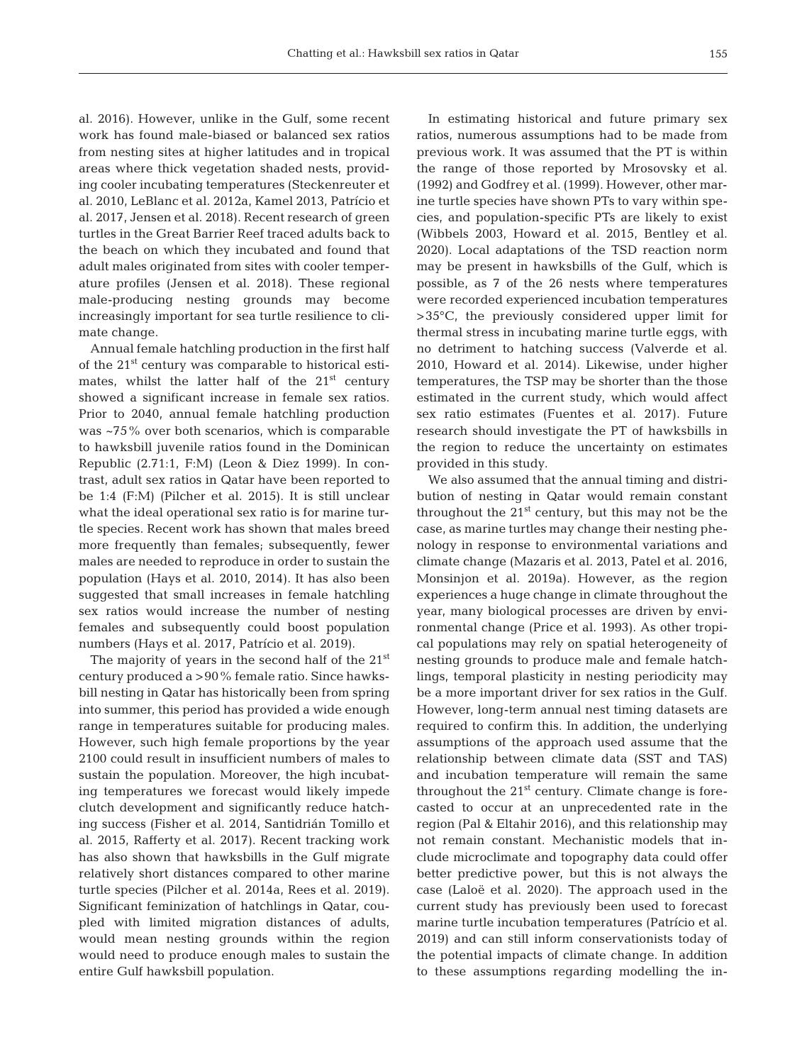al. 2016). However, unlike in the Gulf, some recent work has found male-biased or balanced sex ratios from nesting sites at higher latitudes and in tropical areas where thick vegetation shaded nests, providing cooler incubating temperatures (Steckenreuter et al. 2010, LeBlanc et al. 2012a, Kamel 2013, Patrício et al. 2017, Jensen et al. 2018). Recent research of green turtles in the Great Barrier Reef traced adults back to the beach on which they incubated and found that adult males originated from sites with cooler temperature profiles (Jensen et al. 2018). These regional male-producing nesting grounds may become increasingly important for sea turtle resilience to climate change.

Annual female hatchling production in the first half of the  $21<sup>st</sup>$  century was comparable to historical estimates, whilst the latter half of the  $21<sup>st</sup>$  century showed a significant increase in female sex ratios. Prior to 2040, annual female hatchling production was ~75% over both scenarios, which is comparable to hawksbill juvenile ratios found in the Dominican Republic (2.71:1, F:M) (Leon & Diez 1999). In contrast, adult sex ratios in Qatar have been reported to be 1:4 (F:M) (Pilcher et al. 2015). It is still unclear what the ideal operational sex ratio is for marine turtle species. Recent work has shown that males breed more frequently than females; subsequently, fewer males are needed to reproduce in order to sustain the population (Hays et al. 2010, 2014). It has also been suggested that small increases in female hatchling sex ratios would increase the number of nesting females and subsequently could boost population numbers (Hays et al. 2017, Patrício et al. 2019).

The majority of years in the second half of the 21<sup>st</sup> century produced a >90% female ratio. Since hawksbill nesting in Qatar has historically been from spring into summer, this period has provided a wide enough range in temperatures suitable for producing males. However, such high female proportions by the year 2100 could result in insufficient numbers of males to sustain the population. Moreover, the high incubating temperatures we forecast would likely impede clutch development and significantly reduce hatching success (Fisher et al. 2014, Santidrián Tomillo et al. 2015, Rafferty et al. 2017). Recent tracking work has also shown that hawksbills in the Gulf migrate relatively short distances compared to other marine turtle species (Pilcher et al. 2014a, Rees et al. 2019). Significant feminization of hatchlings in Qatar, coupled with limited migration distances of adults, would mean nesting grounds within the region would need to produce enough males to sustain the entire Gulf hawksbill population.

In estimating historical and future primary sex ratios, numerous assumptions had to be made from previous work. It was assumed that the PT is within the range of those reported by Mrosovsky et al. (1992) and Godfrey et al. (1999). However, other marine turtle species have shown PTs to vary within species, and population-specific PTs are likely to exist (Wibbels 2003, Howard et al. 2015, Bentley et al. 2020). Local adaptations of the TSD reaction norm may be present in hawksbills of the Gulf, which is possible, as 7 of the 26 nests where temperatures were recorded experienced incubation temperatures >35°C, the previously considered upper limit for thermal stress in incubating marine turtle eggs, with no detriment to hatching success (Valverde et al. 2010, Howard et al. 2014). Likewise, under higher temperatures, the TSP may be shorter than the those estimated in the current study, which would affect sex ratio estimates (Fuentes et al. 2017). Future research should investigate the PT of hawksbills in the region to reduce the uncertainty on estimates provided in this study.

We also assumed that the annual timing and distribution of nesting in Qatar would remain constant throughout the  $21<sup>st</sup>$  century, but this may not be the case, as marine turtles may change their nesting phenology in response to environmental variations and climate change (Mazaris et al. 2013, Patel et al. 2016, Monsinjon et al. 2019a). However, as the region experiences a huge change in climate throughout the year, many biological processes are driven by environmental change (Price et al. 1993). As other tropical populations may rely on spatial heterogeneity of nesting grounds to produce male and female hatchlings, temporal plasticity in nesting periodicity may be a more important driver for sex ratios in the Gulf. However, long-term annual nest timing datasets are required to confirm this. In addition, the underlying assumptions of the approach used assume that the relationship between climate data (SST and TAS) and incubation temperature will remain the same throughout the  $21<sup>st</sup>$  century. Climate change is forecasted to occur at an unprecedented rate in the region (Pal & Eltahir 2016), and this relationship may not remain constant. Mechanistic models that include microclimate and topography data could offer better predictive power, but this is not always the case (Laloë et al. 2020). The approach used in the current study has previously been used to forecast marine turtle incubation temperatures (Patrício et al. 2019) and can still inform conservationists today of the potential impacts of climate change. In addition to these assumptions regarding modelling the in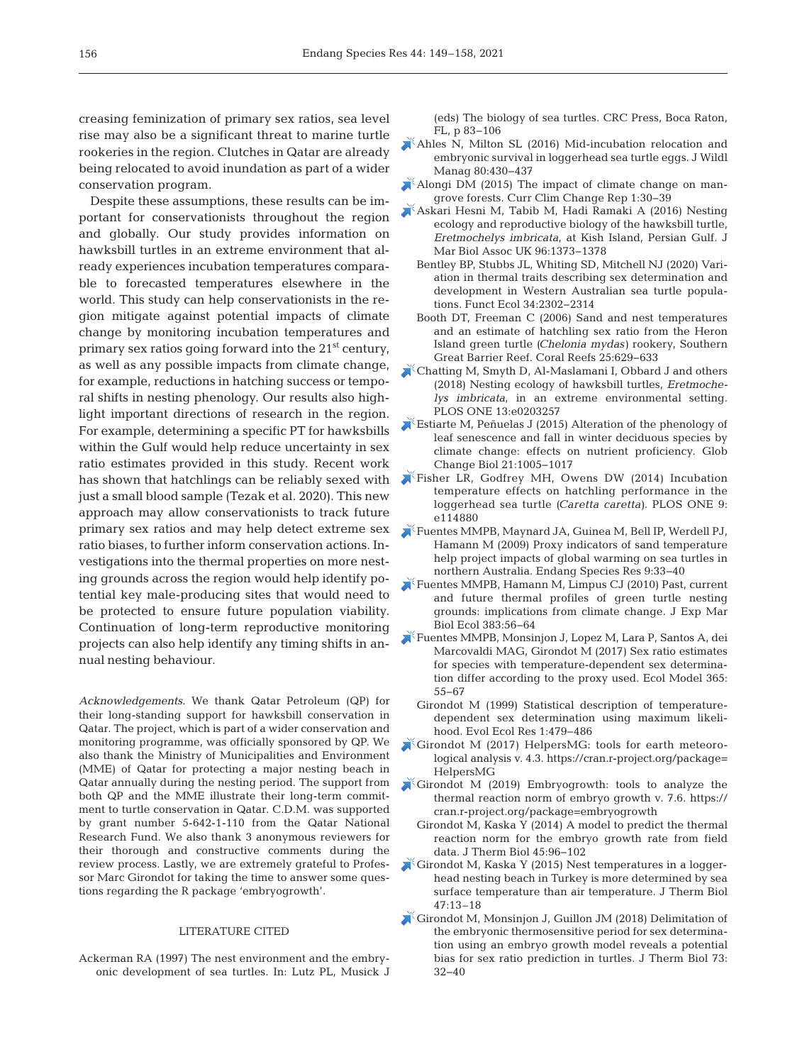creasing feminization of primary sex ratios, sea level rise may also be a significant threat to marine turtle rookeries in the region. Clutches in Qatar are already being relocated to avoid inundation as part of a wider conservation program.

Despite these assumptions, these results can be important for conservationists throughout the region and globally. Our study provides information on hawksbill turtles in an extreme environment that already experiences incubation temperatures comparable to forecasted temperatures elsewhere in the world. This study can help conservationists in the region mitigate against potential impacts of climate change by monitoring incubation temperatures and primary sex ratios going forward into the 21st century, as well as any possible impacts from climate change, for example, reductions in hatching success or temporal shifts in nesting phenology. Our results also highlight important directions of research in the region. For example, determining a specific PT for hawksbills within the Gulf would help reduce uncertainty in sex ratio estimates provided in this study. Recent work has shown that hatchlings can be reliably sexed with just a small blood sample (Tezak et al. 2020). This new approach may allow conservationists to track future primary sex ratios and may help detect extreme sex [Fuentes MMPB, Maynard JA, Guinea M, Bell IP, Werdell PJ,](https://doi.org/10.3354/esr00224) ratio biases, to further inform conservation actions. Investigations into the thermal properties on more nesting grounds across the region would help identify potential key male-producing sites that would need to be protected to ensure future population viability. Continuation of long-term reproductive monitoring projects can also help identify any timing shifts in annual nesting behaviour.

*Acknowledgements*. We thank Qatar Petroleum (QP) for their long-standing support for hawksbill conservation in Qatar. The project, which is part of a wider conservation and monitoring programme, was officially sponsored by QP. We also thank the Ministry of Municipalities and Environment (MME) of Qatar for protecting a major nesting beach in Qatar annually during the nesting period. The support from both QP and the MME illustrate their long-term commitment to turtle conservation in Qatar. C.D.M. was supported by grant number 5-642-1-110 from the Qatar National Research Fund. We also thank 3 anonymous reviewers for their thorough and constructive comments during the review process. Lastly, we are extremely grateful to Professor Marc Girondot for taking the time to answer some questions regarding the R package 'embryogrowth'.

# LITERATURE CITED

Ackerman RA (1997) The nest environment and the embryonic development of sea turtles. In: Lutz PL, Musick J (eds) The biology of sea turtles. CRC Press, Boca Raton, FL, p 83−106

- [Ahles N, Milton SL \(2016\) Mid-incubation relocation and](https://doi.org/10.1002/jwmg.1023) embryonic survival in loggerhead sea turtle eggs. J Wildl Manag 80:430-437
- [Alongi DM \(2015\) The impact of climate change on man](https://doi.org/10.1007/s40641-015-0002-x)grove forests. Curr Clim Change Rep 1:30-39
	- [Askari Hesni M, Tabib M, Hadi Ramaki A \(2016\) Nesting](https://doi.org/10.1017/S0025315415001125) ecology and reproductive biology of the hawksbill turtle, *Eretmochelys imbricata*, at Kish Island, Persian Gulf. J Mar Biol Assoc UK 96: 1373−1378
	- Bentley BP, Stubbs JL, Whiting SD, Mitchell NJ (2020) Variation in thermal traits describing sex determination and development in Western Australian sea turtle populations. Funct Ecol 34: 2302−2314
	- Booth DT, Freeman C (2006) Sand and nest temperatures and an estimate of hatchling sex ratio from the Heron Island green turtle *(Chelonia mydas)* rookery, Southern Great Barrier Reef. Coral Reefs 25: 629−633
- [Chatting M, Smyth D, Al-Maslamani I, Obbard J and others](https://doi.org/10.1371/journal.pone.0203257) (2018) Nesting ecology of hawksbill turtles, *Eretmoche lys imbricata*, in an extreme environmental setting. PLOS ONE 13:e0203257
- [Estiarte M, Peñuelas J \(2015\) Alteration of the phenology of](https://doi.org/10.1111/gcb.12804) leaf senescence and fall in winter deciduous species by climate change: effects on nutrient proficiency. Glob Change Biol 21: 1005−1017
- [Fisher LR, Godfrey MH, Owens DW \(2014\) Incubation](https://www.ncbi.nlm.nih.gov/entrez/query.fcgi?cmd=Retrieve&db=PubMed&list_uids=25517114&dopt=Abstract) temperature effects on hatchling performance in the loggerhead sea turtle *(Caretta caretta)*. PLOS ONE 9: e114880
- Hamann M (2009) Proxy indicators of sand temperature help project impacts of global warming on sea turtles in northern Australia. Endang Species Res 9:33-40
- [Fuentes MMPB, Hamann M, Limpus CJ \(2010\) Past, current](https://doi.org/10.1016/j.jembe.2009.11.003) and future thermal profiles of green turtle nesting grounds:implications from climate change. J Exp Mar Biol Ecol 383:56-64
- [Fuentes MMPB, Monsinjon J, Lopez M, Lara P, Santos A, dei](https://doi.org/10.1016/j.ecolmodel.2017.09.022) Marcovaldi MAG, Girondot M (2017) Sex ratio estimates for species with temperature-dependent sex determination differ according to the proxy used. Ecol Model 365: 55−67
	- Girondot M (1999) Statistical description of temperaturedependent sex determination using maximum likelihood. Evol Ecol Res 1:479-486
- $\blacktriangleright$  Girondot M (2017) HelpersMG: tools for earth meteorological analysis v. 4.3. https://cran.r-project.org/package= HelpersMG
- $\blacktriangleright$  Girondot M (2019) Embryogrowth: tools to analyze the thermal reaction norm of embryo growth v. 7.6. https:// cran.r-project.org/package=embryogrowth
	- Girondot M, Kaska Y (2014) A model to predict the thermal reaction norm for the embryo growth rate from field data. J Therm Biol 45:96-102
- [Girondot M, Kaska Y \(2015\) Nest temperatures in a logger](https://doi.org/10.1016/j.jtherbio.2014.10.008)head nesting beach in Turkey is more determined by sea surface temperature than air temperature. J Therm Biol 47: 13–18
- [Girondot M, Monsinjon J, Guillon JM \(2018\) Delimitation of](https://doi.org/10.1016/j.jtherbio.2018.02.006) the embryonic thermosensitive period for sex determination using an embryo growth model reveals a potential bias for sex ratio prediction in turtles. J Therm Biol 73: 32−40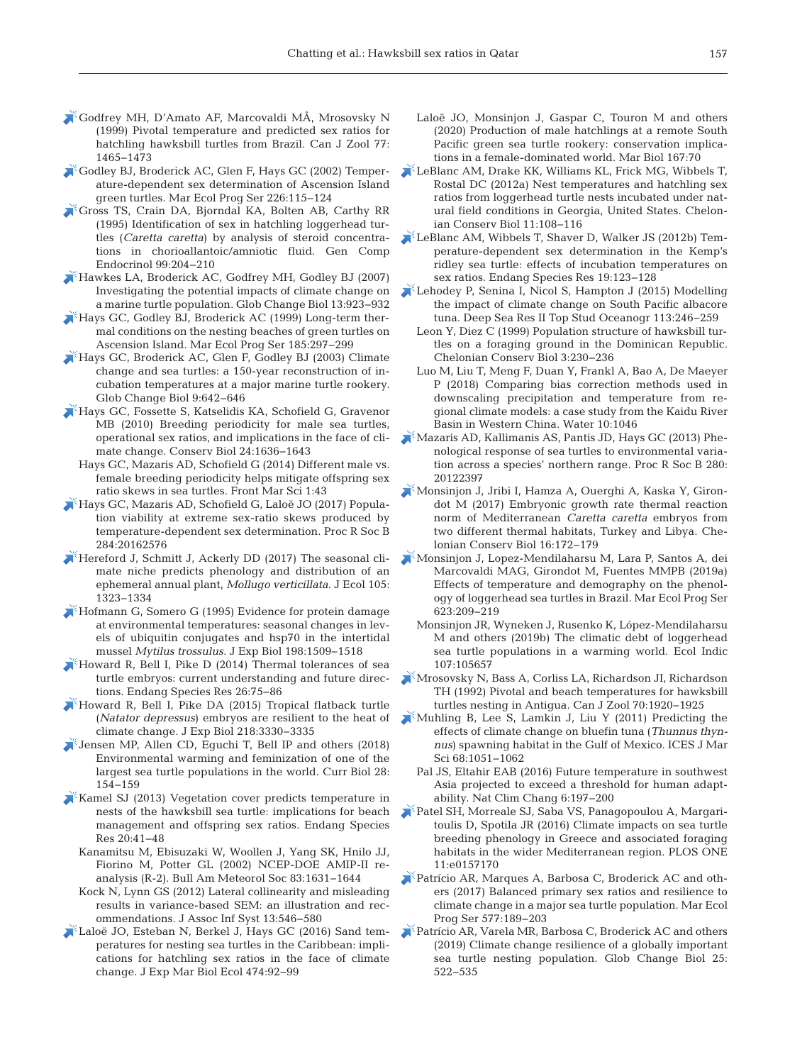- [Godfrey MH, D'Amato AF, Marcovaldi MÂ, Mrosovsky N](https://doi.org/10.1139/z99-117) (1999) Pivotal temperature and predicted sex ratios for hatchling hawksbill turtles from Brazil. Can J Zool 77: 1465−1473
- [Godley BJ, Broderick AC, Glen F, Hays GC \(2002\) Temper](https://doi.org/10.3354/meps226115)ature-dependent sex determination of Ascension Island green turtles. Mar Ecol Prog Ser 226: 115−124
- [Gross TS, Crain DA, Bjorndal KA, Bolten AB, Carthy RR](https://doi.org/10.1006/gcen.1995.1103) (1995) Identification of sex in hatchling loggerhead turtles (*Caretta caretta*) by analysis of steroid concentrations in chorioallantoic/amniotic fluid. Gen Comp Endocrinol 99: 204−210
- [Hawkes LA, Broderick AC, Godfrey MH, Godley BJ \(2007\)](https://doi.org/10.1111/j.1365-2486.2007.01320.x) Investigating the potential impacts of climate change on a marine turtle population. Glob Change Biol 13: 923−932
- [Hays GC, Godley BJ, Broderick AC \(1999\) Long-term ther](https://doi.org/10.3354/meps185297)mal conditions on the nesting beaches of green turtles on Ascension Island. Mar Ecol Prog Ser 185:297-299
- [Hays GC, Broderick AC, Glen F, Godley BJ \(2003\) Climate](https://doi.org/10.1046/j.1365-2486.2003.00606.x) change and sea turtles: a 150-year reconstruction of incubation temperatures at a major marine turtle rookery. Glob Change Biol 9:642-646
- [Hays GC, Fossette S, Katselidis KA, Schofield G, Gravenor](https://doi.org/10.1111/j.1523-1739.2010.01531.x) MB (2010) Breeding periodicity for male sea turtles, operational sex ratios, and implications in the face of climate change. Conserv Biol 24: 1636−1643
	- Hays GC, Mazaris AD, Schofield G (2014) Different male vs. female breeding periodicity helps mitigate offspring sex ratio skews in sea turtles. Front Mar Sci 1:43
- [Hays GC, Mazaris AD, Schofield G, Laloë JO \(2017\) Popula](https://www.ncbi.nlm.nih.gov/entrez/query.fcgi?cmd=Retrieve&db=PubMed&list_uids=28179520&dopt=Abstract)tion viability at extreme sex-ratio skews produced by temperature-dependent sex determination. Proc R Soc B 284: 20162576
- [Hereford J, Schmitt J, Ackerly DD \(2017\) The seasonal cli](https://doi.org/10.1111/1365-2745.12739)mate niche predicts phenology and distribution of an ephemeral annual plant, *Mollugo verticillata*. J Ecol 105: 1323−1334
- [Hofmann G, Somero G \(1995\) Evidence for protein damage](https://www.ncbi.nlm.nih.gov/entrez/query.fcgi?cmd=Retrieve&db=PubMed&list_uids=9319406&dopt=Abstract) at environmental temperatures: seasonal changes in levels of ubiquitin conjugates and hsp70 in the intertidal mussel *Mytilus trossulus*. J Exp Biol 198: 1509−1518
- [Howard R, Bell I, Pike D \(2014\) Thermal tolerances of sea](https://doi.org/10.3354/esr00636) turtle embryos: current understanding and future directions. Endang Species Res 26: 75−86
- [Howard R, Bell I, Pike DA \(2015\) Tropical flatback turtle](https://doi.org/10.1242/jeb.118778) (*Natator depressus*) embryos are resilient to the heat of climate change. J Exp Biol 218: 3330−3335
- [Jensen MP, Allen CD, Eguchi T, Bell IP and others \(2018\)](https://doi.org/10.1016/j.cub.2017.11.057) Environmental warming and feminization of one of the largest sea turtle populations in the world. Curr Biol 28: 154−159
- $\mathbb{X}^k$ [Kamel SJ \(2013\) Vegetation cover predicts temperature in](https://doi.org/10.3354/esr00489) nests of the hawksbill sea turtle: implications for beach management and offspring sex ratios. Endang Species Res 20:41−48
	- Kanamitsu M, Ebisuzaki W, Woollen J, Yang SK, Hnilo JJ, Fiorino M, Potter GL (2002) NCEP-DOE AMIP-II re analysis (R-2). Bull Am Meteorol Soc 83: 1631−1644
	- Kock N, Lynn GS (2012) Lateral collinearity and misleading results in variance-based SEM: an illustration and recommendations. J Assoc Inf Syst 13: 546−580
- [Laloë JO, Esteban N, Berkel J, Hays GC \(2016\) Sand tem](https://doi.org/10.1016/j.jembe.2015.09.015)peratures for nesting sea turtles in the Caribbean: implications for hatchling sex ratios in the face of climate change. J Exp Mar Biol Ecol 474: 92−99
- Laloë JO, Monsinjon J, Gaspar C, Touron M and others (2020) Production of male hatchlings at a remote South Pacific green sea turtle rookery: conservation implications in a female-dominated world. Mar Biol 167:70
- [LeBlanc AM, Drake KK, Williams KL, Frick MG, Wibbels T,](https://doi.org/10.2744/CCB-0915.1) Rostal DC (2012a) Nest temperatures and hatchling sex ratios from loggerhead turtle nests incubated under natural field conditions in Georgia, United States. Chelonian Conserv Biol 11: 108−116
- [LeBlanc AM, Wibbels T, Shaver D, Walker JS \(2012b\) Tem](https://doi.org/10.3354/esr00465)perature-dependent sex determination in the Kemp's ridley sea turtle: effects of incubation temperatures on sex ratios. Endang Species Res 19: 123−128
- [Lehodey P, Senina I, Nicol S, Hampton J \(2015\) Modelling](https://doi.org/10.1016/j.dsr2.2014.10.028) the impact of climate change on South Pacific albacore tuna. Deep Sea Res II Top Stud Oceanogr 113: 246−259
	- Leon Y, Diez C (1999) Population structure of hawksbill turtles on a foraging ground in the Dominican Republic. Chelonian Conserv Biol 3: 230−236
	- Luo M, Liu T, Meng F, Duan Y, Frankl A, Bao A, De Maeyer P (2018) Comparing bias correction methods used in downscaling precipitation and temperature from regional climate models: a case study from the Kaidu River Basin in Western China. Water 10:1046
- [Mazaris AD, Kallimanis AS, Pantis JD, Hays GC \(2013\) Phe](https://www.ncbi.nlm.nih.gov/entrez/query.fcgi?cmd=Retrieve&db=PubMed&list_uids=23193130&dopt=Abstract)nological response of sea turtles to environmental variation across a species' northern range. Proc R Soc B 280: 20122397
- [Monsinjon J, Jribi I, Hamza A, Ouerghi A, Kaska Y, Giron](https://doi.org/10.2744/CCB-1269.1)dot M (2017) Embryonic growth rate thermal reaction norm of Mediterranean *Caretta caretta* embryos from two different thermal habitats, Turkey and Libya. Chelonian Conserv Biol 16: 172−179
- [Monsinjon J, Lopez-Mendilaharsu M, Lara P, Santos A, dei](https://doi.org/10.3354/meps12988) Marcovaldi MAG, Girondot M, Fuentes MMPB (2019a) Effects of temperature and demography on the phenology of loggerhead sea turtles in Brazil. Mar Ecol Prog Ser 623: 209−219
	- Monsinjon JR, Wyneken J, Rusenko K, López-Mendilaharsu M and others (2019b) The climatic debt of loggerhead sea turtle populations in a warming world. Ecol Indic 107: 105657
- [Mrosovsky N, Bass A, Corliss LA, Richardson JI, Richardson](https://doi.org/10.1139/z92-261) TH (1992) Pivotal and beach temperatures for hawksbill turtles nesting in Antigua. Can J Zool 70: 1920−1925
- [Muhling B, Lee S, Lamkin J, Liu Y \(2011\) Predicting the](https://doi.org/10.1093/icesjms/fsr008) effects of climate change on bluefin tuna (*Thunnus thynnus*) spawning habitat in the Gulf of Mexico. ICES J Mar Sci 68: 1051−1062
	- Pal JS, Eltahir EAB (2016) Future temperature in southwest Asia projected to exceed a threshold for human adaptability. Nat Clim Chang 6: 197−200
- [Patel SH, Morreale SJ, Saba VS, Panagopoulou A, Margari](https://www.ncbi.nlm.nih.gov/entrez/query.fcgi?cmd=Retrieve&db=PubMed&list_uids=27332550&dopt=Abstract)toulis D, Spotila JR (2016) Climate impacts on sea turtle breeding phenology in Greece and associated foraging habitats in the wider Mediterranean region. PLOS ONE 11: e0157170
- [Patrício AR, Marques A, Barbosa C, Broderick AC and oth](https://doi.org/10.3354/meps12242)ers (2017) Balanced primary sex ratios and resilience to climate change in a major sea turtle population. Mar Ecol Prog Ser 577: 189−203
- [Patrício AR, Varela MR, Barbosa C, Broderick AC and others](https://doi.org/10.1111/gcb.14520) (2019) Climate change resilience of a globally important sea turtle nesting population. Glob Change Biol 25: 522−535